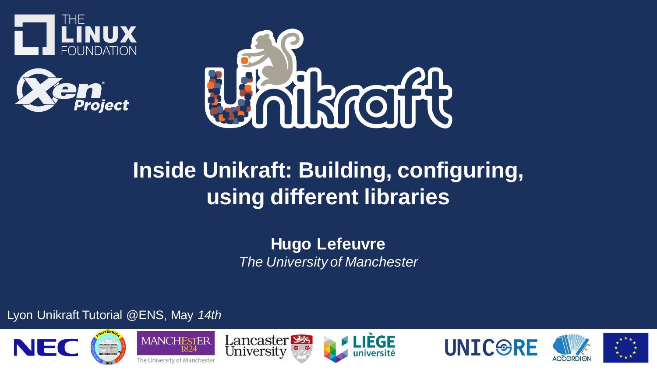





#### **Inside Unikraft: Building, configuring, using different libraries**

**Hugo Lefeuvre** *The University of Manchester*

Lyon Unikraft Tutorial @ENS, May *14th*













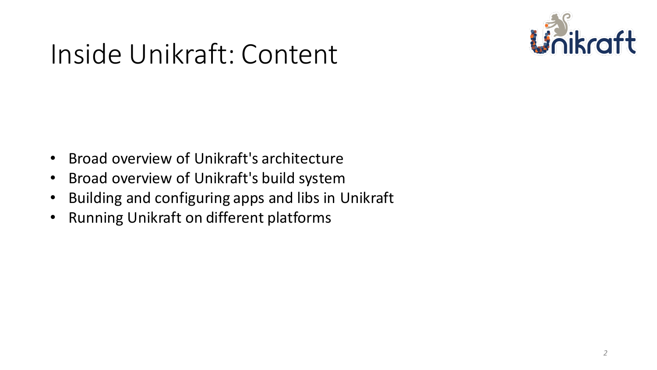

#### Inside Unikraft: Content

- Broad overview of Unikraft's architecture
- Broad overview of Unikraft's build system
- Building and configuring apps and libs in Unikraft
- Running Unikraft on different platforms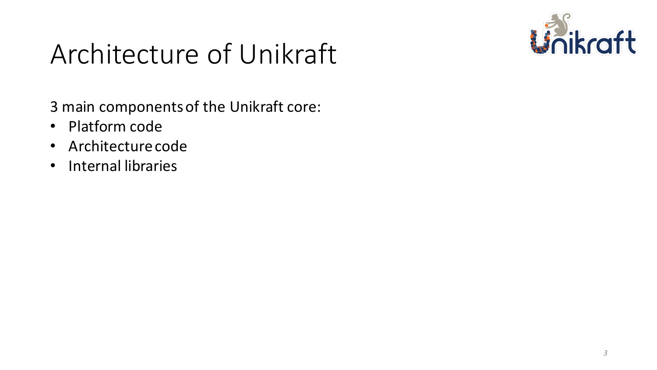

- Platform code
- Architecture code
- Internal libraries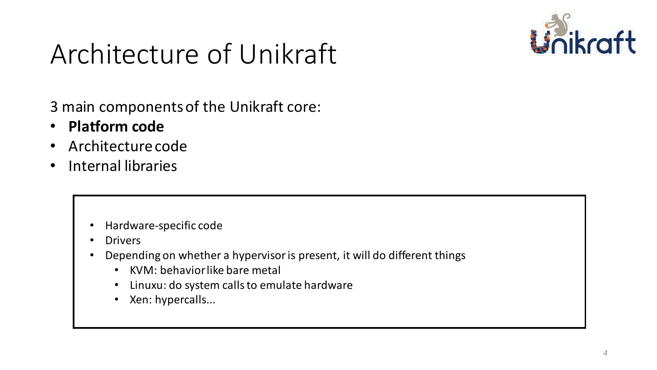

- **Platform code**
- Architecture code
- Internal libraries

- Hardware-specific code
- Drivers
- Depending on whether a hypervisor is present, it will do different things
	- KVM: behavior like bare metal
	- Linuxu: do system calls to emulate hardware
	- Xen: hypercalls...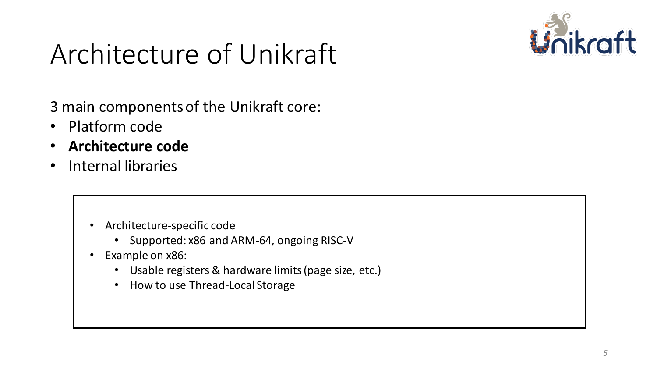

- Platform code
- **Architecture code**
- Internal libraries

- Architecture-specific code
	- Supported: x86 and ARM-64, ongoing RISC-V
- Example on x86:
	- Usable registers & hardware limits (page size, etc.)
	- How to use Thread-Local Storage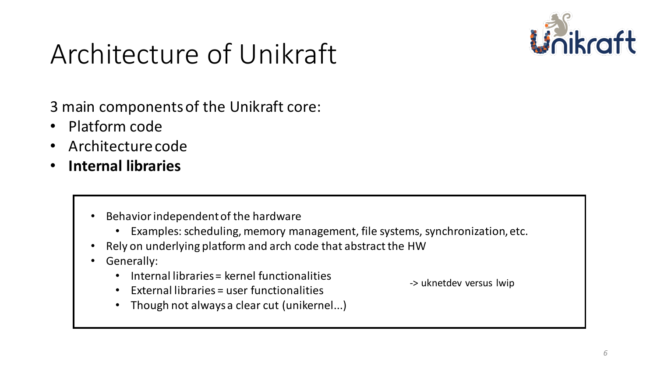

- Platform code
- Architecture code
- **Internal libraries**
	- Behavior independent of the hardware
		- Examples: scheduling, memory management, file systems, synchronization, etc.
	- Rely on underlying platform and arch code that abstract the HW
	- Generally:
		- Internal libraries = kernel functionalities
		- External libraries = user functionalities
- -> uknetdev versus lwip
- Though not always a clear cut (unikernel...)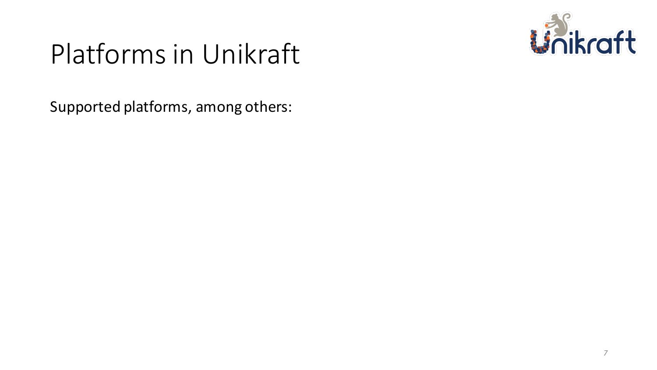

### Platforms in Unikraft

Supported platforms, among others: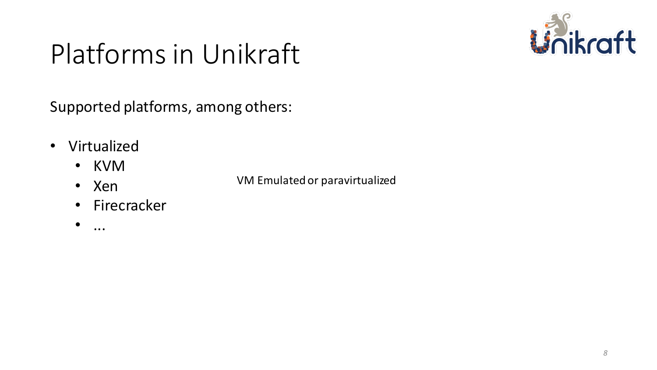

#### Platforms in Unikraft

Supported platforms, among others:

- Virtualized
	- KVM
	- Xen
	- Firecracker
	- $\bullet$  ...

VM Emulated or paravirtualized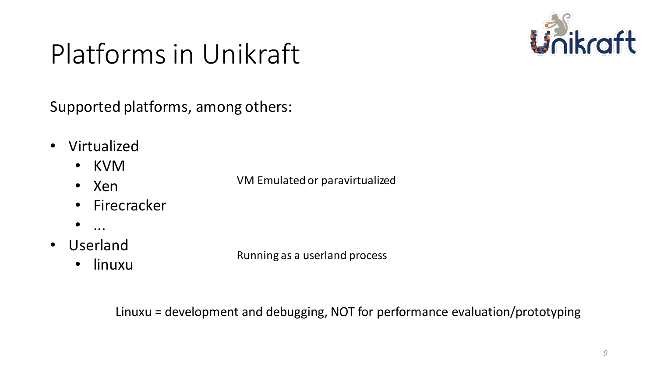

#### Platforms in Unikraft

Supported platforms, among others:

- Virtualized
	- KVM
	- Xen
	- Firecracker
	- $\bullet$  ...
- Userland
	- linuxu

VM Emulated or paravirtualized

Running as a userland process

Linuxu = development and debugging, NOT for performance evaluation/prototyping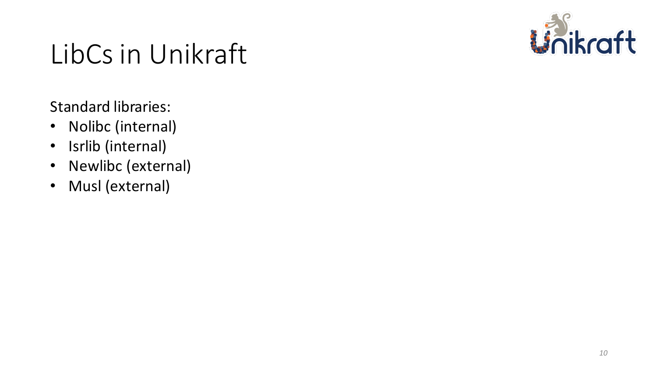

### LibCs in Unikraft

- Nolibc (internal)
- Isrlib (internal)
- Newlibc (external)
- Musl (external)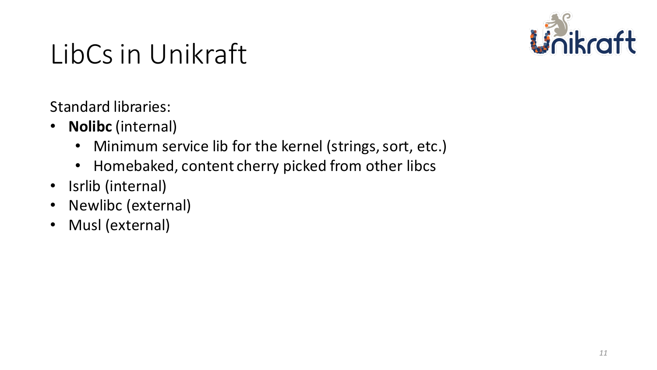

#### LibCs in Unikraft

- **Nolibc** (internal)
	- Minimum service lib for the kernel (strings, sort, etc.)
	- Homebaked, content cherry picked from other libcs
- Isrlib (internal)
- Newlibc (external)
- Musl (external)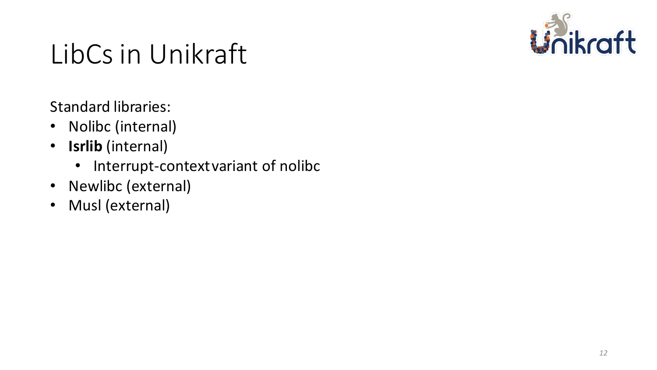

### LibCs in Unikraft

- Nolibc (internal)
- **Isrlib** (internal)
	- Interrupt-context variant of nolibc
- Newlibc (external)
- Musl (external)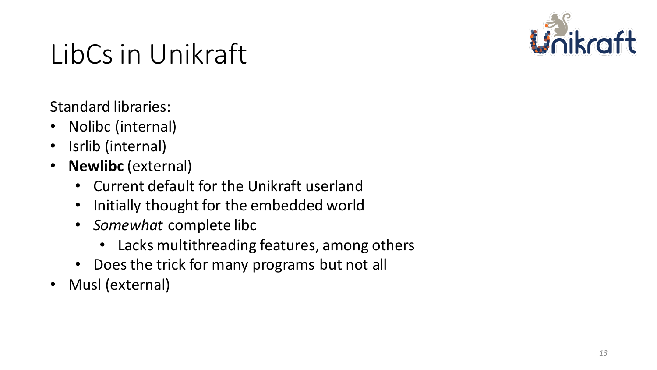

### LibCsin Unikraft

- Nolibc (internal)
- Isrlib (internal)
- **Newlibc** (external)
	- Current default for the Unikraft userland
	- Initially thought for the embedded world
	- *Somewhat* complete libc
		- Lacks multithreading features, among others
	- Does the trick for many programs but not all
- Musl (external)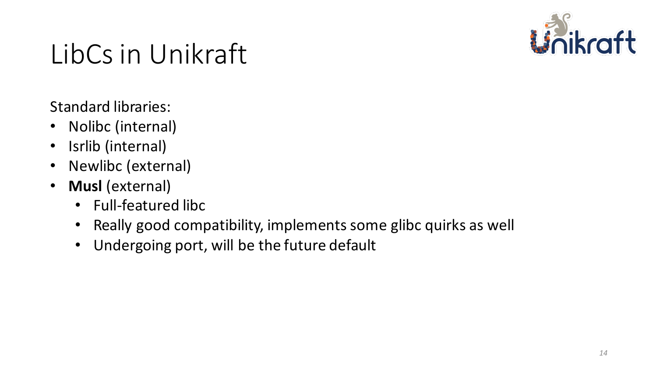

### LibCsin Unikraft

- Nolibc (internal)
- Isrlib (internal)
- Newlibc (external)
- **Musl** (external)
	- Full-featured libc
	- Really good compatibility, implements some glibc quirks as well
	- Undergoing port, will be the future default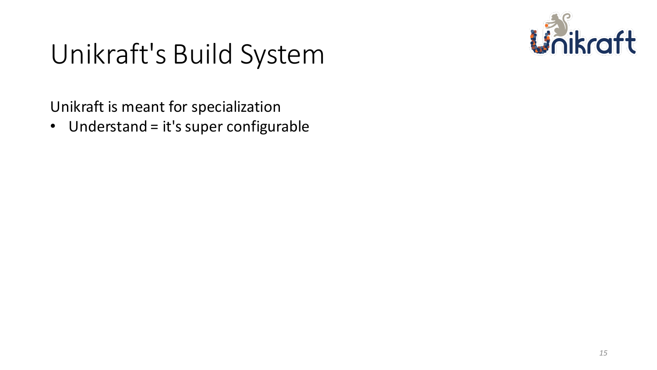

Unikraft is meant for specialization

• Understand = it's super configurable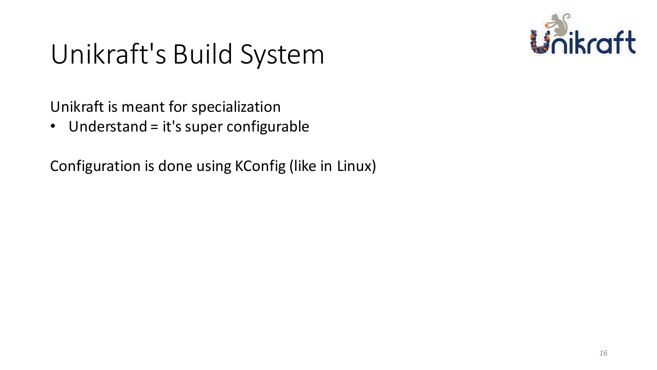

Unikraft is meant for specialization

• Understand = it's super configurable

Configuration is done using KConfig (like in Linux)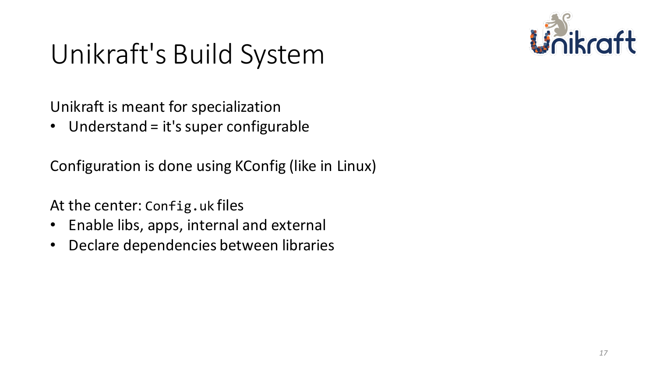

Unikraft is meant for specialization

• Understand = it's super configurable

Configuration is done using KConfig (like in Linux)

At the center: Config.uk files

- Enable libs, apps, internal and external
- Declare dependencies between libraries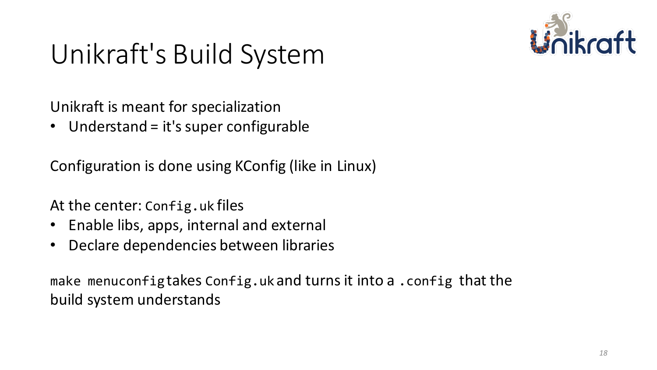

Unikraft is meant for specialization

• Understand = it's super configurable

Configuration is done using KConfig (like in Linux)

At the center: Config.uk files

- Enable libs, apps, internal and external
- Declare dependencies between libraries

make menuconfig takes Config.uk and turns it into a .config that the build system understands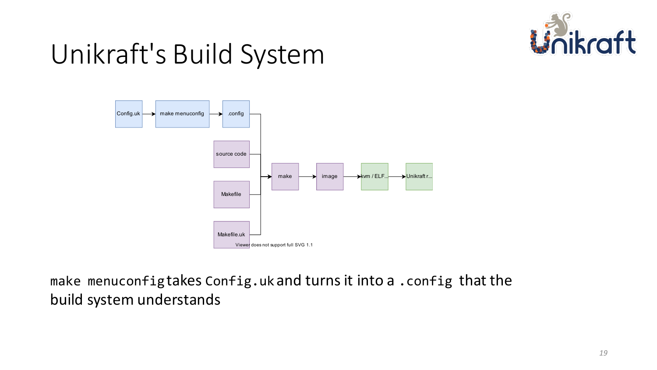



make menuconfig takes Config.uk and turns it into a .config that the build system understands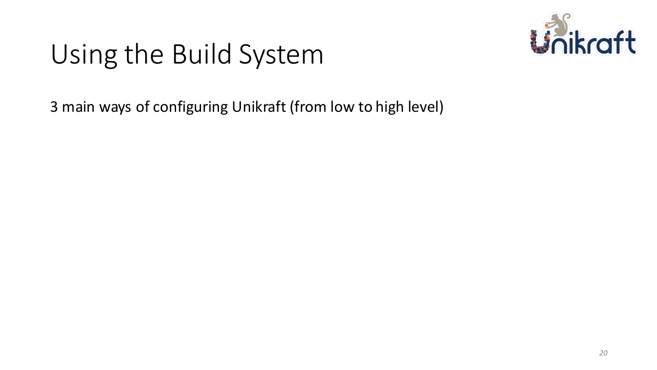

3 main ways of configuring Unikraft (from low to high level)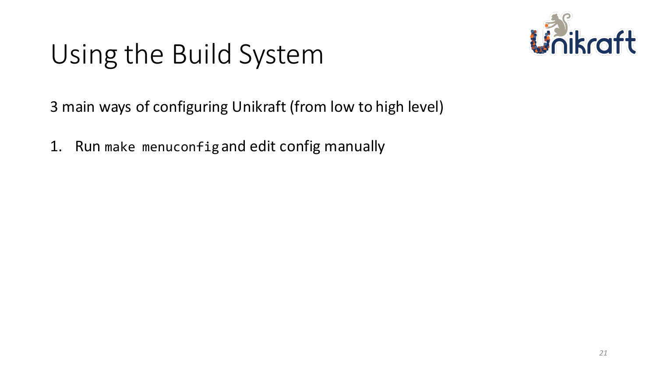

3 main ways of configuring Unikraft (from low to high level)

1. Run make menuconfig and edit config manually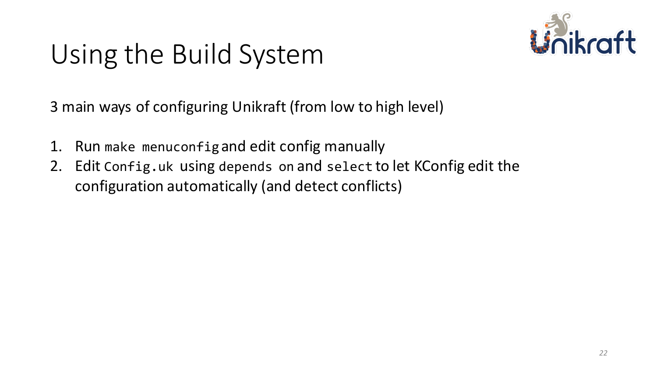

3 main ways of configuring Unikraft (from low to high level)

- 1. Run make menuconfig and edit config manually
- 2. Edit Config.uk using depends on and select to let KConfig edit the configuration automatically (and detect conflicts)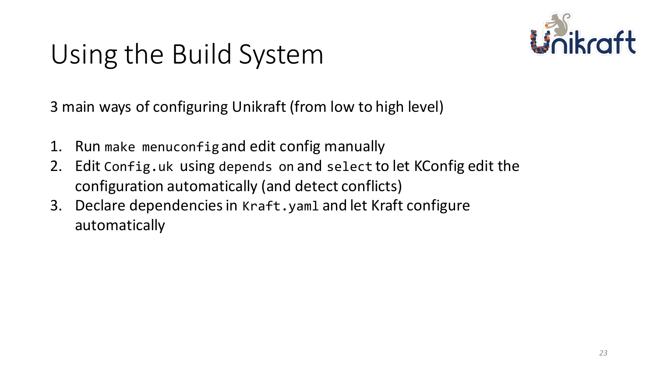

3 main ways of configuring Unikraft (from low to high level)

- 1. Run make menuconfig and edit config manually
- 2. Edit Config.uk using depends on and select to let KConfig edit the configuration automatically (and detect conflicts)
- 3. Declare dependencies in Kraft.yaml and let Kraft configure automatically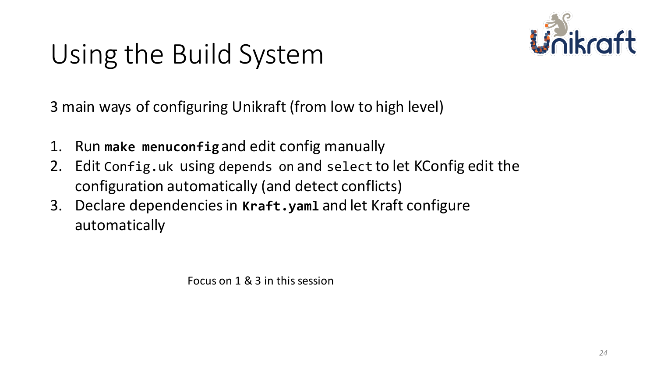

3 main ways of configuring Unikraft (from low to high level)

- 1. Run **make menuconfig** and edit config manually
- 2. Edit Config.uk using depends on and select to let KConfig edit the configuration automatically (and detect conflicts)
- 3. Declare dependencies in **Kraft.yaml** and let Kraft configure automatically

Focus on 1 & 3 in this session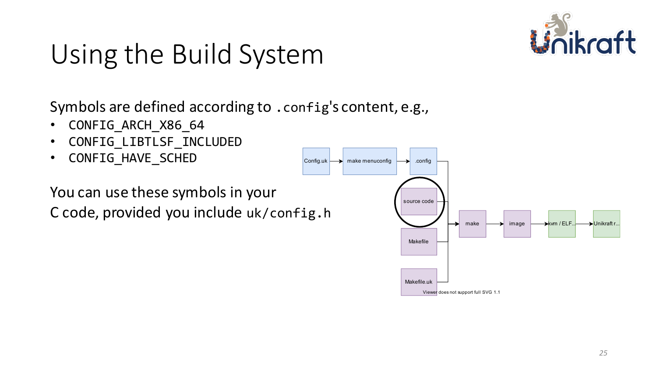

Symbols are defined according to .config's content, e.g.,

- CONFIG\_ARCH\_X86\_64
- CONFIG\_LIBTLSF\_INCLUDED
- CONFIG\_HAVE\_SCHED

You can use these symbols in your C code, provided you include uk/config.h

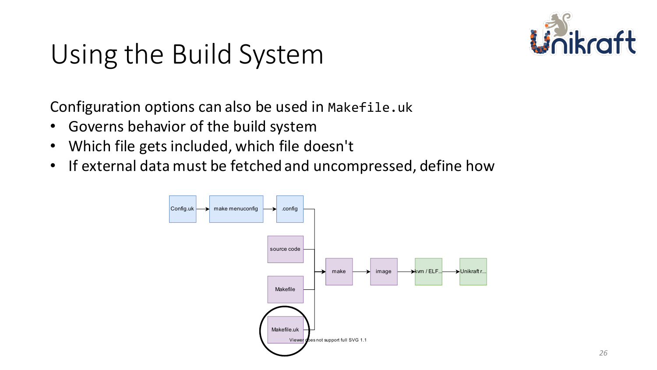

Configuration options can also be used in Makefile.uk

- Governs behavior of the build system
- Which file gets included, which file doesn't
- If external data must be fetched and uncompressed, define how